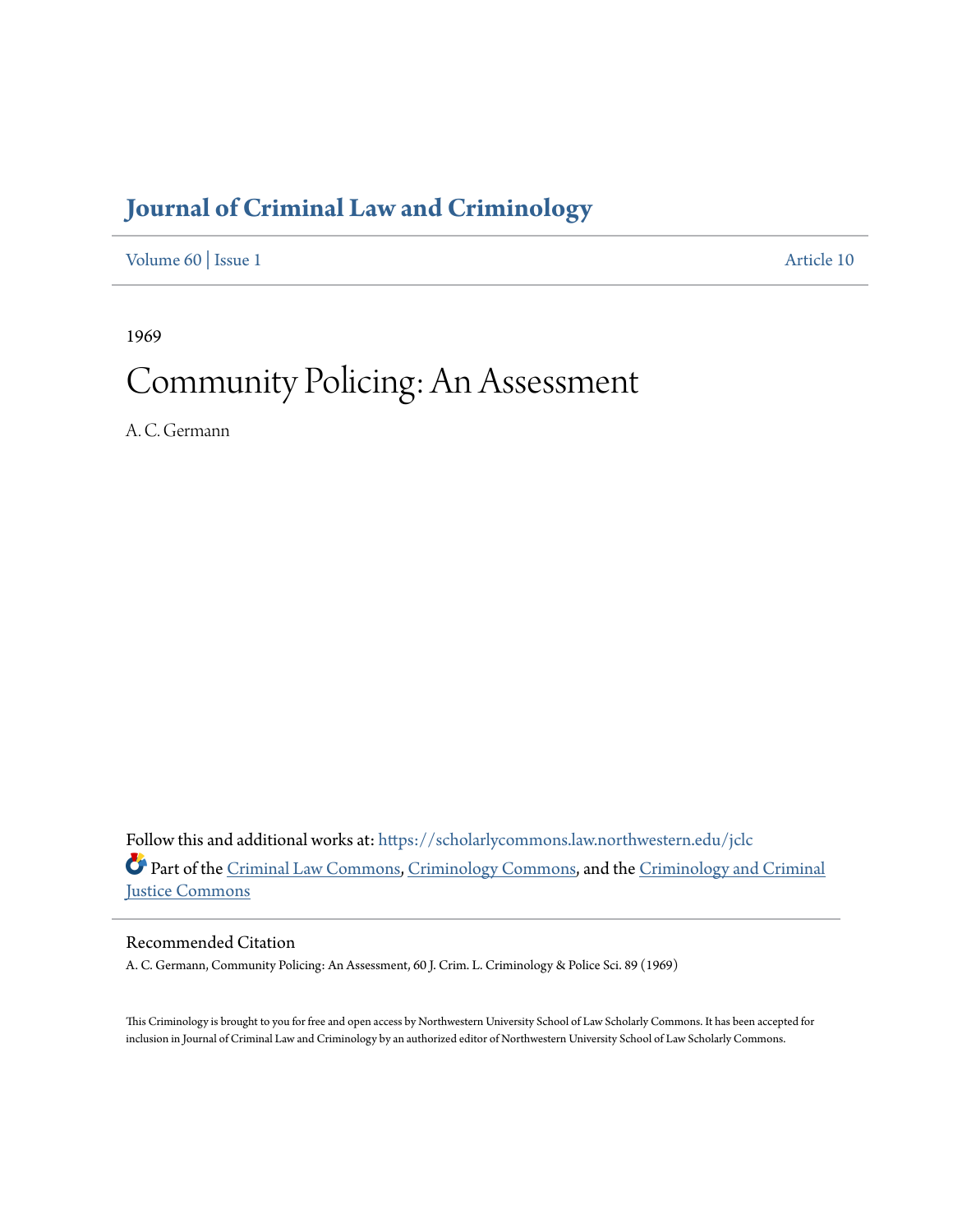# **[Journal of Criminal Law and Criminology](https://scholarlycommons.law.northwestern.edu/jclc?utm_source=scholarlycommons.law.northwestern.edu%2Fjclc%2Fvol60%2Fiss1%2F10&utm_medium=PDF&utm_campaign=PDFCoverPages)**

[Volume 60](https://scholarlycommons.law.northwestern.edu/jclc/vol60?utm_source=scholarlycommons.law.northwestern.edu%2Fjclc%2Fvol60%2Fiss1%2F10&utm_medium=PDF&utm_campaign=PDFCoverPages) | [Issue 1](https://scholarlycommons.law.northwestern.edu/jclc/vol60/iss1?utm_source=scholarlycommons.law.northwestern.edu%2Fjclc%2Fvol60%2Fiss1%2F10&utm_medium=PDF&utm_campaign=PDFCoverPages) [Article 10](https://scholarlycommons.law.northwestern.edu/jclc/vol60/iss1/10?utm_source=scholarlycommons.law.northwestern.edu%2Fjclc%2Fvol60%2Fiss1%2F10&utm_medium=PDF&utm_campaign=PDFCoverPages)

1969

# Community Policing: An Assessment

A. C. Germann

Follow this and additional works at: [https://scholarlycommons.law.northwestern.edu/jclc](https://scholarlycommons.law.northwestern.edu/jclc?utm_source=scholarlycommons.law.northwestern.edu%2Fjclc%2Fvol60%2Fiss1%2F10&utm_medium=PDF&utm_campaign=PDFCoverPages) Part of the [Criminal Law Commons](http://network.bepress.com/hgg/discipline/912?utm_source=scholarlycommons.law.northwestern.edu%2Fjclc%2Fvol60%2Fiss1%2F10&utm_medium=PDF&utm_campaign=PDFCoverPages), [Criminology Commons](http://network.bepress.com/hgg/discipline/417?utm_source=scholarlycommons.law.northwestern.edu%2Fjclc%2Fvol60%2Fiss1%2F10&utm_medium=PDF&utm_campaign=PDFCoverPages), and the [Criminology and Criminal](http://network.bepress.com/hgg/discipline/367?utm_source=scholarlycommons.law.northwestern.edu%2Fjclc%2Fvol60%2Fiss1%2F10&utm_medium=PDF&utm_campaign=PDFCoverPages) [Justice Commons](http://network.bepress.com/hgg/discipline/367?utm_source=scholarlycommons.law.northwestern.edu%2Fjclc%2Fvol60%2Fiss1%2F10&utm_medium=PDF&utm_campaign=PDFCoverPages)

## Recommended Citation

A. C. Germann, Community Policing: An Assessment, 60 J. Crim. L. Criminology & Police Sci. 89 (1969)

This Criminology is brought to you for free and open access by Northwestern University School of Law Scholarly Commons. It has been accepted for inclusion in Journal of Criminal Law and Criminology by an authorized editor of Northwestern University School of Law Scholarly Commons.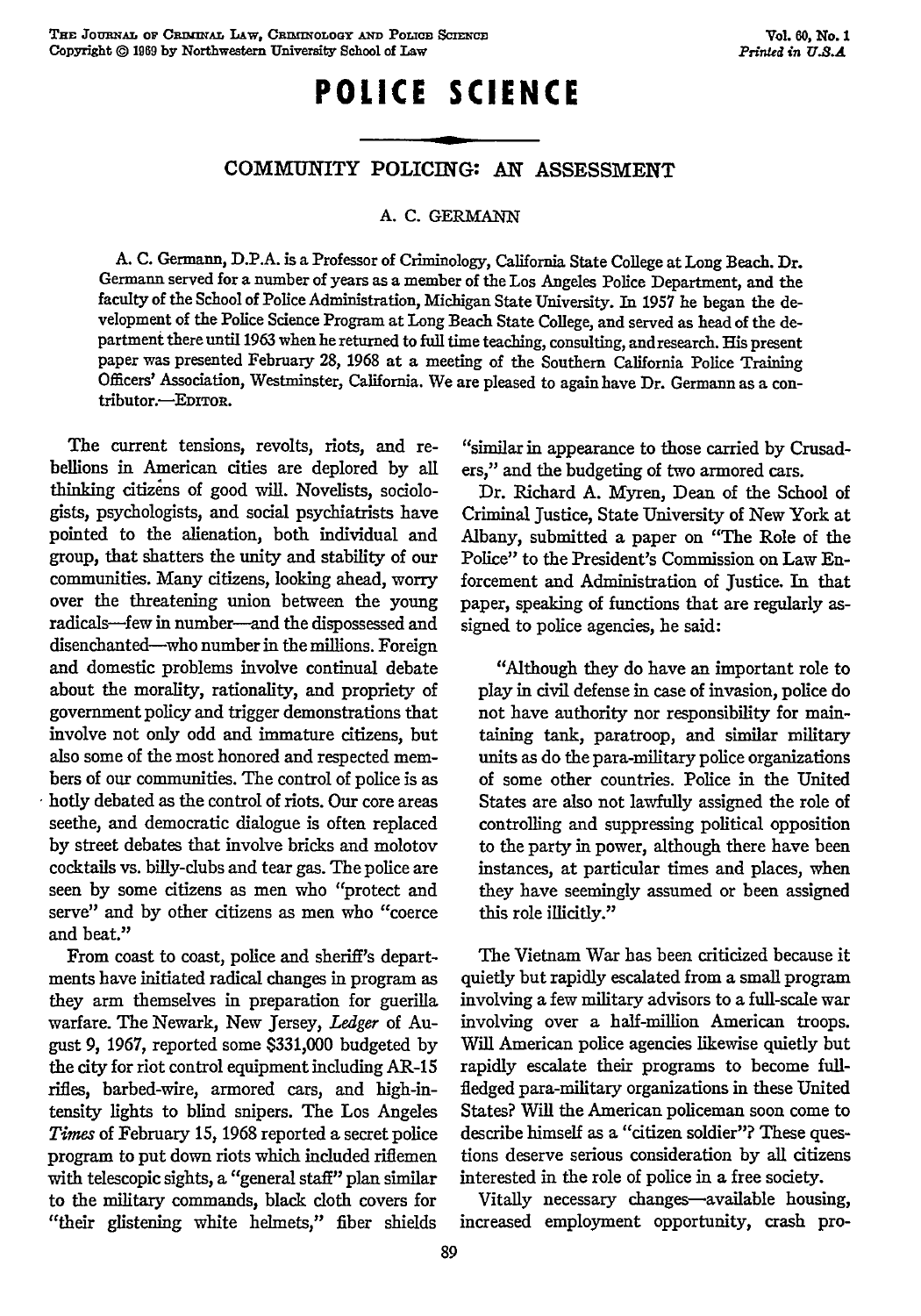## **POLICE SCIENCE**

### COMMUNITY POLICING: AN ASSESSMENT

#### **A. C. GERMANN**

**A. C.** Germanu, **D.P.A.** is a Professor of Criminology, California State College at Long Beach. Dr. Germann served for a number of years as a member of the Los Angeles Police Department, and the faculty of the School of Police Administration, Michigan State University. In 1957 he began the development of the Police Science Program at Long Beach State College, and served as head of the department there until 1963 when he returned to full time teaching, consulting, and research. His present paper was presented February **28,** 1968 at a meeting of the Southern California Police Training Officers' Association, Westminster, California. We are pleased to again have Dr. Germann as a contributor.-EDITOR.

The current tensions, revolts, riots, and rebellions in American cities are deplored by all thinking citizens of good will. Novelists, sociologists, psychologists, and social psychiatrists have pointed to the alienation, both individual and group, that shatters the unity and stability of our communities. Many citizens, looking ahead, worry over the threatening union between the young radicals-few in number--and the dispossessed and disenchanted-who number in the millions. Foreign and domestic problems involve continual debate about the morality, rationality, and propriety of government policy and trigger demonstrations that involve not only odd and immature citizens, but also some of the most honored and respected members of our communities. The control of police is as hotly debated as the control of riots. Our core areas seethe, and democratic dialogue is often replaced by street debates that involve bricks and molotov cocktails vs. billy-clubs and tear gas. The police are seen by some citizens as men who "protect and serve" and by other citizens as men who "coerce and beat."

From coast to coast, police and sheriff's departments have initiated radical changes in program as they arm themselves in preparation for guerilla warfare. The Newark, New Jersey, *Ledger* of August 9, 1967, reported some \$331,000 budgeted by the city for riot control equipment including AR-15 rifles, barbed-wire, armored cars, and high-intensity lights to blind snipers. The Los Angeles *Times* of February 15, 1968 reported a secret police program to put down riots which included riflemen with telescopic sights, a "general staff" plan similar to the military commands, black cloth covers for "their glistening white helmets," fiber shields

"similar in appearance to those carried by Crusaders," and the budgeting of two armored cars.

Dr. Richard A. Myren, Dean of the School of Criminal Justice, State University of New York at Albany, submitted a paper on "The Role of the Police" to the President's Commission on Law Enforcement and Administration of Justice. In that paper, speaking of functions that are regularly assigned to police agencies, he said:

"Although they do have an important role to play in civil defense in case of invasion, police do not have authority nor responsibility for maintaining tank, paratroop, and similar military units as do the para-military police organizations of some other countries. Police in the United States are also not lawfully assigned the role of controlling and suppressing political opposition to the party in power, although there have been instances, at particular times and places, when they have seemingly assumed or been assigned this role illicitly."

The Vietnam War has been criticized because it quietly but rapidly escalated from a small program involving a few military advisors to a full-scale war involving over a half-million American troops. Will American police agencies likewise quietly but rapidly escalate their programs to become fullfledged para-military organizations in these United States? Will the American policeman soon come to describe himself as a "citizen soldier"? These questions deserve serious consideration by all citizens interested in the role of police in a free society.

Vitally necessary changes-available housing, increased employment opportunity, crash pro-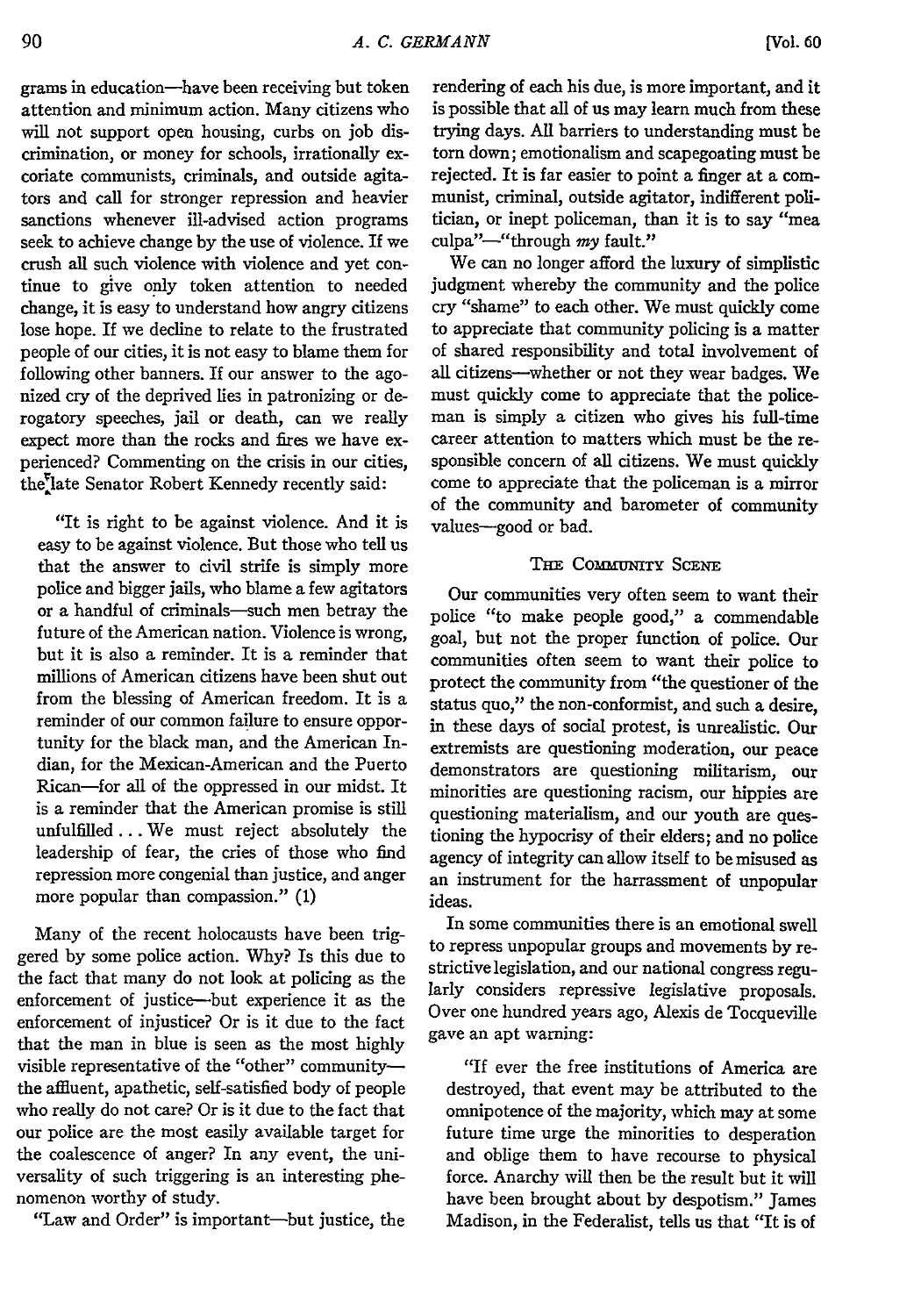grams in education-have been receiving but token attention and minimum action. Many citizens who will not support open housing, curbs on job discrimination, or money for schools, irrationally excoriate communists, criminals, and outside agitators and call for stronger repression and heavier sanctions whenever ill-advised action programs seek to achieve change by the use of violence. If we crush all such violence with violence and yet continue to give only token attention to needed change, it is easy to understand how angry citizens lose hope. If we decline to relate to the frustrated people of our cities, it is not easy to blame them for following other banners. If our answer to the agonized cry of the deprived lies in patronizing or derogatory speeches, jail or death, can we really expect more than the rocks and fires we have experienced? Commenting on the crisis in our cities, the<sup>r</sup>late Senator Robert Kennedy recently said:

"It is right to be against violence. And it is easy to be against violence. But those who tell us that the answer to civil strife is simply more police and bigger jails, who blame a few agitators or a handful of criminals-such men betray the future of the American nation. Violence is wrong, but it is also a reminder. It is a reminder that millions of American citizens have been shut out from the blessing of American freedom. It is a reminder of our common failure to ensure opportunity for the black man, and the American Indian, for the Mexican-American and the Puerto Rican-for all of the oppressed in our midst. It is a reminder that the American promise is still unfulfilled... We must reject absolutely the leadership of fear, the cries of those who find repression more congenial than justice, and anger more popular than compassion." (1)

Many of the recent holocausts have been triggered by some police action. Why? Is this due to the fact that many do not look at policing as the enforcement of justice-but experience it as the enforcement of injustice? Or is it due to the fact that the man in blue is seen as the most highly visible representative of the "other" communitythe affluent, apathetic, self-satisfied body of people who really do not care? Or is it due to the fact that our police are the most easily available target for the coalescence of anger? In any event, the universality of such triggering is an interesting phenomenon worthy of study.

"Law and Order" is important-but justice, the

rendering of each his due, is more important, and it is possible that all of us may learn much from these trying days. **All** barriers to understanding must be torn down; emotionalism and scapegoating must be rejected. It is far easier to point a finger at a communist, criminal, outside agitator, indifferent politician, or inept policeman, than it is to say "mea culpa"-"through *my* fault."

We can no longer afford the luxury of simplistic judgment whereby the community and the police cry "shame" to each other. We must quickly come to appreciate that community policing is a matter of shared responsibility and total involvement of all citizens—whether or not they wear badges. We must quickly come to appreciate that the policeman is simply a citizen who gives his full-time career attention to matters which must be the responsible concern of all citizens. We must quickly come to appreciate that the policeman is a mirror of the community and barometer of community values-good or bad.

#### THE **COMMUNITY** SCENE

Our communities very often seem to want their police "to make people good," a commendable goal, but not the proper function of police. Our communities often seem to want their police to protect the community from "the questioner of the status quo," the non-conformist, and such a desire, in these days of social protest, is unrealistic. Our extremists are questioning moderation, our peace demonstrators are questioning militarism, our minorities are questioning racism, our hippies are questioning materialism, and our youth are questioning the hypocrisy of their elders; and no police agency of integrity can allow itself to be misused **as** an instrument for the harrassment of unpopular ideas.

In some communities there is an emotional swell to repress unpopular groups and movements **by** restrictive legislation, and our national congress regularly considers repressive legislative proposals. Over one hundred years ago, Alexis de Tocqueville gave an apt warning:

"If ever the free institutions of America are destroyed, that event may be attributed to the omnipotence of the majority, which may at some future time urge the minorities to desperation and oblige them to have recourse to physical force. Anarchy will then be the result but it will have been brought about **by** despotism." James Madison, in the Federalist, tells us that "It is of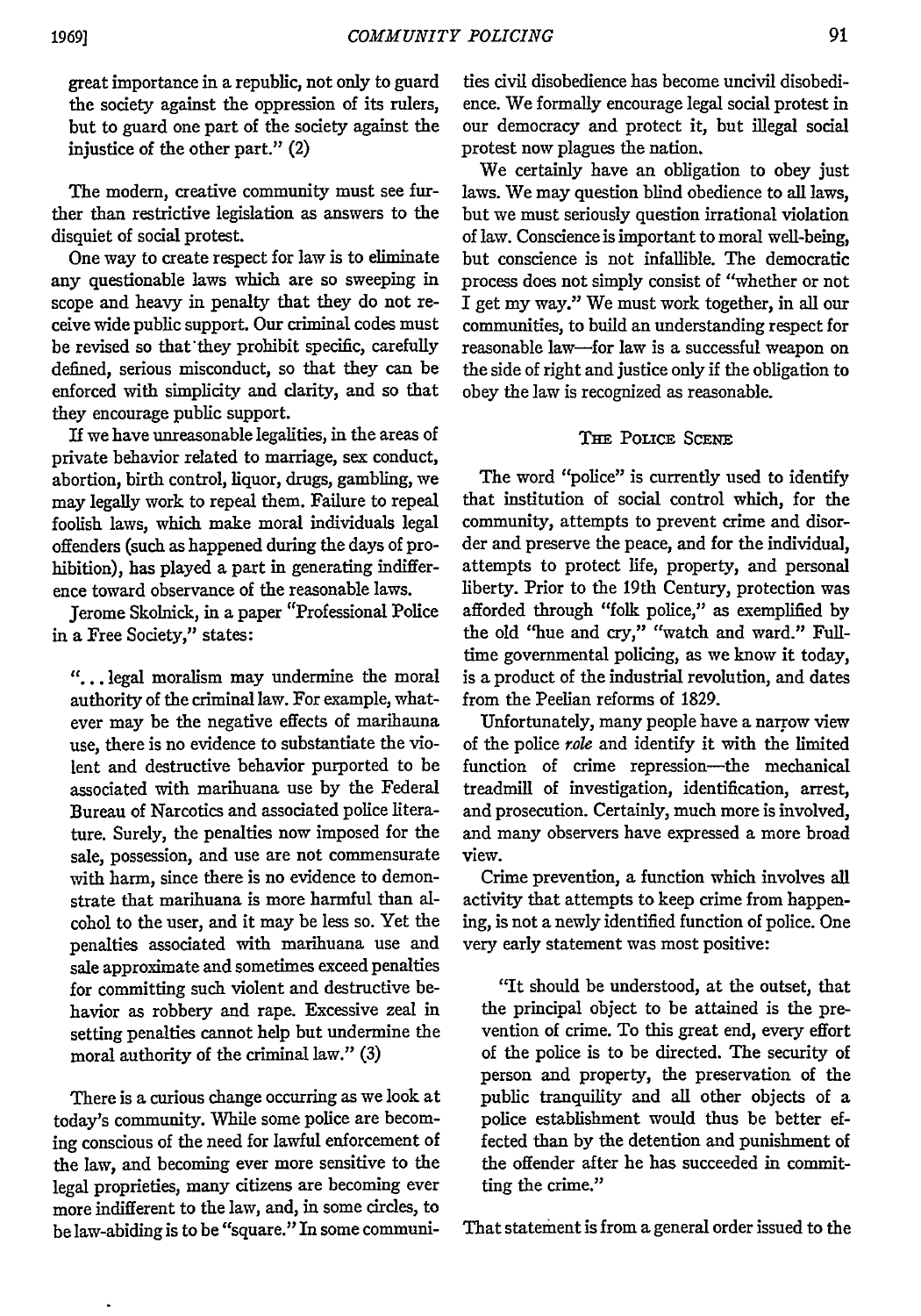great importance in a republic, not only to guard the society against the oppression of its rulers, but to guard one part of the society against the injustice of the other part." (2)

The modem, creative community must see further than restrictive legislation as answers to the disquiet of social protest.

One way to create respect for law is to eliminate any questionable laws which are so sweeping in scope and heavy in penalty that they do not receive wide public support. Our criminal codes must be revised so that'they prohibit specific, carefully defined, serious misconduct, so that they can be enforced with simplicity and darity, and so that they encourage public support.

If we have unreasonable legalities, in the areas of private behavior related to marriage, sex conduct, abortion, birth control, liquor, drugs, gambling, we may legally work to repeal them. Failure to repeal foolish laws, which make moral individuals legal offenders (such as happened during the days of prohibition), has played a part in generating indifference toward observance of the reasonable laws.

Jerome Skolnick, in a paper "Professional Police in a Free Society," states:

**"....** legal moralism may undermine the moral authority of the criminal law. For example, whatever may be the negative effects of marihauna use, there is no evidence to substantiate the violent and destructive behavior purported to be associated with marihuana use by the Federal Bureau of Narcotics and associated police literature. Surely, the penalties now imposed for the sale, possession, and use are not commensurate with harm, since there is no evidence to demonstrate that marihuana is more harmful than alcohol to the user, and it may be less so. Yet the penalties associated with marihuana use and sale approximate and sometimes exceed penalties for committing such violent and destructive behavior as robbery and rape. Excessive zeal in setting penalties cannot help but undermine the moral authority of the criminal law." (3)

There is a curious change occurring as we look at today's community. While some police are becoming conscious of the need for lawful enforcement of the law, and becoming ever more sensitive to the legal proprieties, many citizens are becoming ever more indifferent to the law, and, in some circles, to be law-abiding is to be "square." In some commui-

ties civil disobedience has become uncivil disobedience. We formally encourage legal social protest in our democracy and protect it, but illegal social protest now plagues the nation.

We certainly have an obligation to obey just laws. We may question blind obedience to all laws, but we must seriously question irrational violation of law. Conscience is important to moral well-being, but conscience is not infallible. The democratic process does not simply consist of "whether or not I get my way." We must work together, in all our communities, to build an understanding respect for reasonable law-for law is a successful weapon on the side of right and justice only if the obligation to obey the law is recognized as reasonable.

#### THE POLICE SCENE

The word "police" is currently used to identify that institution of social control which, for the community, attempts to prevent crime and disorder and preserve the peace, and for the individual, attempts to protect life, property, and personal liberty. Prior to the 19th Century, protection was afforded through "folk police," as exemplified by the old "hue and cry," "watch and ward." Fulltime governmental policing, as we know it today, is a product of the industrial revolution, and dates from the Peelian reforms of 1829.

Unfortunately, many people have a narrow view of the police *role* and identify it with the limited function of crime repression-the mechanical treadmill of investigation, identification, arrest, and prosecution. Certainly, much more is involved, and many observers have expressed a more broad view.

Crime prevention, a function which involves all activity that attempts to keep crime from happening, is not a newly identified function of police. One very early statement was most positive:

"It should be understood, at the outset, that the principal object to be attained is the prevention of crime. To this great end, every effort of the police is to be directed. The security of person and property, the preservation of the public tranquility and all other objects of a police establishment would thus be better effected than by the detention and punishment of the offender after he has succeeded in committing the crime."

That statement is from a general order issued to the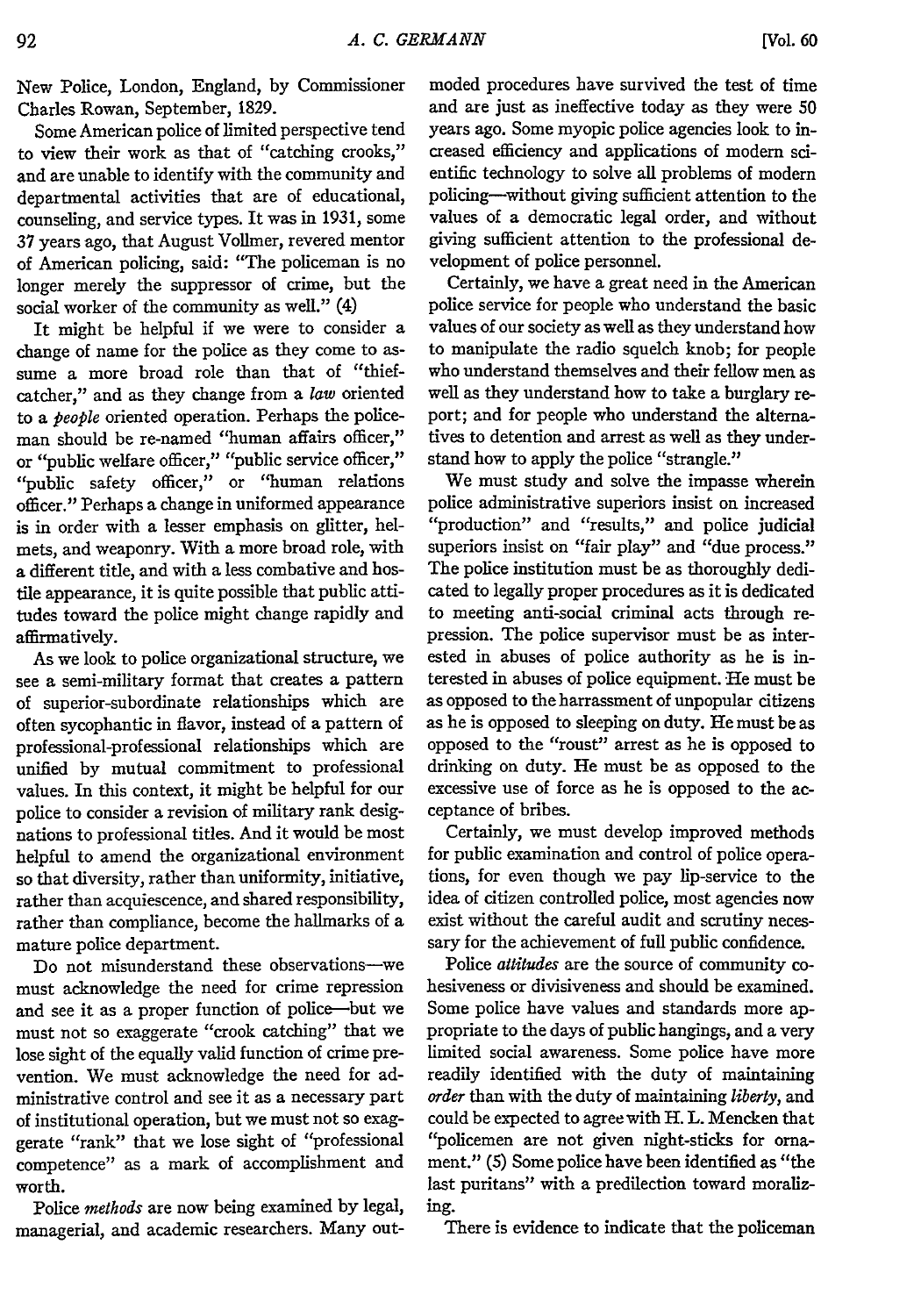New Police, London, England, by Commissioner Charles Rowan, September, 1829.

Some American police of limited perspective tend to view their work as that of "catching crooks," and are unable to identify with the community and departmental activities that are of educational, counseling, and service types. It was in 1931, some 37 years ago, that August Vollmer, revered mentor of American policing, said: "The policeman is no longer merely the suppressor of crime, but the social worker of the community as well." (4)

It might be helpful if we were to consider a change of name for the police as they come to assume a more broad role than that of "thiefcatcher," and as they change from a *law* oriented to a *people* oriented operation. Perhaps the policeman should be re-named "human affairs officer," or "public welfare officer," "public service officer," "public safety officer," or "human relations officer." Perhaps a change in uniformed appearance is in order with a lesser emphasis on glitter, helmets, and weaponry. With a more broad role, with a different title, and with a less combative and hostile appearance, it is quite possible that public attitudes toward the police might change rapidly and affirmatively.

As we look to police organizational structure, we see a semi-military format that creates a pattern of superior-subordinate relationships which are often sycophantic in flavor, instead of a pattern of professional-professional relationships which are unified by mutual commitment to professional values. In this context, it might be helpful for our police to consider a revision of military rank designations to professional titles. And it would be most helpful to amend the organizational environment so that diversity, rather than uniformity, initiative, rather than acquiescence, and shared responsibility, rather than compliance, become the hallmarks of a mature police department.

Do not misunderstand these observations-we must acknowledge the need for crime repression and see it as a proper function of police-but we must not so exaggerate "crook catching" that we lose sight of the equally valid function of crime prevention. We must acknowledge the need for administrative control and see it as a necessary part of institutional operation, but we must not so exaggerate "rank" that we lose sight of "professional competence" as a mark of accomplishment and worth.

Police *methods* are now being examined by legal, managerial, and academic researchers. Many outmoded procedures have survived the test of time and are just as ineffective today as they were 50 years ago. Some myopic police agencies look to increased efficiency and applications of modern scientific technology to solve all problems of modern policing-without giving sufficient attention to the values of a democratic legal order, and without giving sufficient attention to the professional development of police personnel.

Certainly, we have a great need in the American police service for people who understand the basic values of our society as well as they understand how to manipulate the radio squelch knob; for people who understand themselves and their fellow men as well as they understand how to take a burglary report; and for people who understand the alternatives to detention and arrest as well as they understand how to apply the police "strangle."

We must study and solve the impasse wherein police administrative superiors insist on increased "production" and "results," and police judicial superiors insist on "fair play" and "due process." The police institution must be as thoroughly dedicated to legally proper procedures as it is dedicated to meeting anti-social criminal acts through repression. The police supervisor must be as interested in abuses of police authority as he is interested in abuses of police equipment. He must be as opposed to the harrassment of unpopular citizens as he is opposed to sleeping on duty. He must be as opposed to the "roust" arrest as he is opposed to drinking on duty. He must be as opposed to the excessive use of force as he is opposed to the acceptance of bribes.

Certainly, we must develop improved methods for public examination and control of police operations, for even though we pay lip-service to the idea of citizen controlled police, most agencies now exist without the careful audit and scrutiny necessary for the achievement of full public confidence.

Police *attitudes* are the source of community cohesiveness or divisiveness and should be examined. Some police have values and standards more appropriate to the days of public hangings, and a very limited social awareness. Some police have more readily identified with the duty of maintaining *order* than with the duty of maintaining *liberty,* and could be expected to agree with H. L. Mencken that "policemen are not given night-sticks for ornament." (5) Some police have been identified as "the last puritans" with a predilection toward moralizing.

There is evidence to indicate that the policeman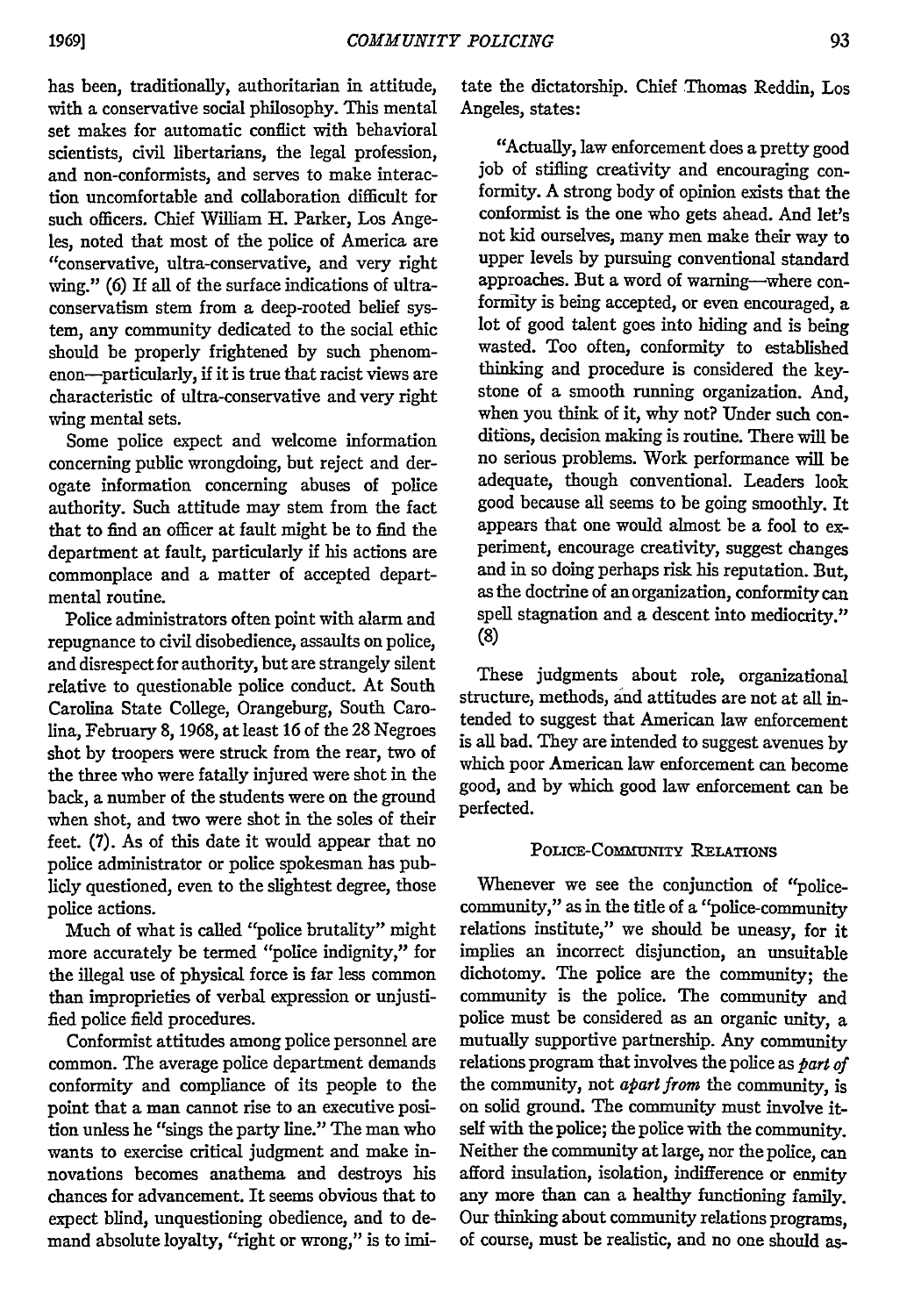has been, traditionally, authoritarian in attitude, with a conservative social philosophy. This mental set makes for automatic conflict with behavioral scientists, civil libertarians, the legal profession, and non-conformists, and serves to make interaction uncomfortable and collaboration difficult for such officers. Chief William H. Parker, Los Angeles, noted that most of the police of America are "conservative, ultra-conservative, and very right wing." (6) If all of the surface indications of ultraconservatism stem from a deep-rooted belief system, any community dedicated to the social ethic should be properly frightened by such phenomenon-particularly, **if** it is true that racist views are characteristic of ultra-conservative and very right wing mental sets.

Some police expect and welcome information concerning public wrongdoing, but reject and derogate information concerning abuses of police authority. Such attitude may stem from the fact that to find an officer at fault might be to find the department at fault, particularly **if** his actions are commonplace and a matter of accepted departmental routine.

Police administrators often point with alarm and repugnance to civil disobedience, assaults on police, and disrespect for authority, but are strangely silent relative to questionable police conduct. At South Carolina State College, Orangeburg, South Carolina, February 8, 1968, at least 16 of the 28 Negroes shot by troopers were struck from the rear, two of the three who were fatally injured were shot in the back, a number of the students were on the ground when shot, and two were shot in the soles of their feet. (7). As of this date it would appear that no police administrator or police spokesman has publicly questioned, even to the slightest degree, those police actions.

Much of what is called "police brutality" might more accurately be termed "police indignity," for the illegal use of physical force is far less common than improprieties of verbal expression or unjustified police field procedures.

Conformist attitudes among police personnel are common. The average police department demands conformity and compliance of its people to the point that a man cannot rise to an executive position unless he "sings the party line." The man who wants to exercise critical judgment and make innovations becomes anathema and destroys his chances for advancement. It seems obvious that to expect blind, unquestioning obedience, and to demand absolute loyalty, "right or wrong," is to imi-

tate the dictatorship. Chief Thomas Reddin, Los Angeles, states:

"Actually, law enforcement does a pretty good job of stifling creativity and encouraging conformity. A strong body of opinion exists that the conformist is the one who gets ahead. And let's not kid ourselves, many men make their way to upper levels by pursuing conventional standard approaches. But a word of warning-where conformity is being accepted, or even encouraged, a lot of good talent goes into hiding and is being wasted. Too often, conformity to established thinking and procedure is considered the keystone of a smooth running organization. And, when you think of it, why not? Under such conditions, decision making is routine. There will be no serious problems. Work performance will be adequate, though conventional. Leaders look good because all seems to be going smoothly. It appears that one would almost be a fool to experiment, encourage creativity, suggest changes and in so doing perhaps risk his reputation. But, as the doctrine of an organization, conformity can spell stagnation and a descent into mediocrity." **(8)**

These judgments about role, organizational structure, methods, and attitudes are not at all intended to suggest that American law enforcement is all bad. They are intended to suggest avenues by which poor American law enforcement can become good, and by which good law enforcement can be perfected.

#### POLICE-CMUJNITY **RELATIONS**

Whenever we see the conjunction of "policecommunity," as in the title of a "police-community relations institute," we should be uneasy, for it implies an incorrect disjunction, an unsuitable dichotomy. The police are the community; the community is the police. The community and police must be considered as an organic unity, a mutually supportive partnership. Any community relations program that involves the police as *part of* the community, not *apart from* the community, is on solid ground. The community must involve itself with the police; the police with the community. Neither the community at large, nor the police, can afford insulation, isolation, indifference or enmity any more than can a healthy functioning family. Our thinking about community relations programs, of course, must be realistic, and no one should as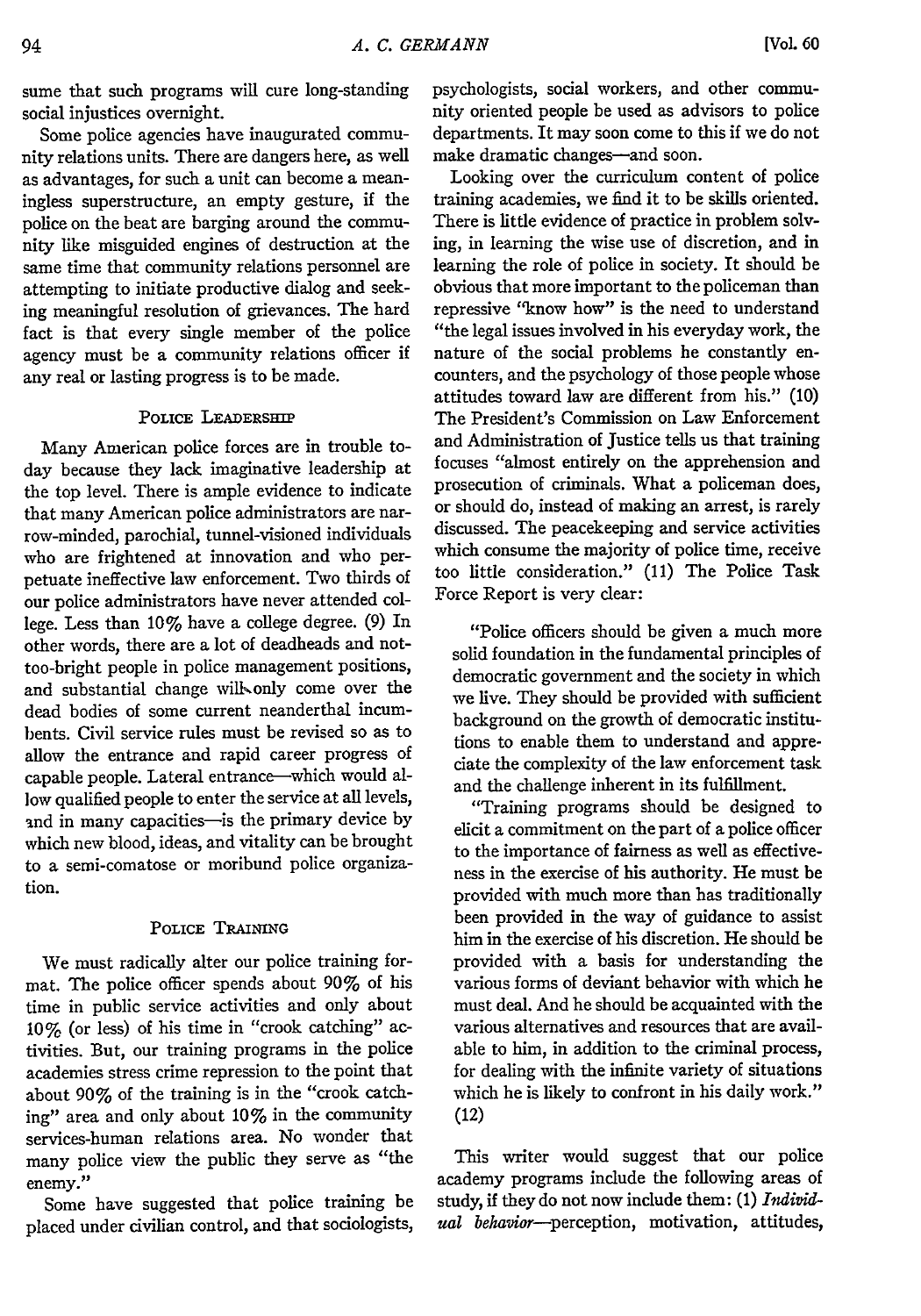sume that such programs will cure long-standing social injustices overnight.

Some police agencies have inaugurated community relations units. There are dangers here, as well as advantages, for such a unit can become a meaningless superstructure, an empty gesture, if the police on the beat are barging around the community like misguided engines of destruction at the same time that community relations personnel are attempting to initiate productive dialog and seeking meaningful resolution of grievances. The hard fact is that every single member of the police agency must be a community relations officer if any real or lasting progress is to be made.

#### POLICE LEADERSHIP

Many American police forces are in trouble today because they lack imaginative leadership at the top level. There is ample evidence to indicate that many American police administrators are narrow-minded, parochial, tunnel-visioned individuals who are frightened at innovation and who perpetuate ineffective law enforcement. Two thirds of our police administrators have never attended college. Less than 10% have a college degree. (9) In other words, there are a lot of deadheads and nottoo-bright people in police management positions, and substantial change will only come over the dead bodies of some current neanderthal incumbents. Civil service rules must be revised so as to allow the entrance and rapid career progress of capable people. Lateral entrance-which would allow qualified people to enter the service at all levels, and in many capacities-is the primary device by which new blood, ideas, and vitality can be brought to a semi-comatose or moribund police organization.

#### POLICE TRAINING

We must radically alter our police training format. The police officer spends about 90% of his time in public service activities and only about 10% (or less) of his time in "crook catching" activities. But, our training programs in the police academies stress crime repression to the point that about 90% of the training is in the "crook catching" area and only about 10% in the community services-human relations area. No wonder that many police view the public they serve as "the enemy."

Some have suggested that police training be placed under civilian control, and that sociologists, psychologists, social workers, and other community oriented people be used as advisors to police departments. It may soon come to this if we do not make dramatic changes-and soon.

Looking over the curriculum content of police training academies, we find it to be skills oriented. There is little evidence of practice in problem solving, in learning the wise use of discretion, and in learning the role of police in society. It should be obvious that more important to the policeman than repressive "know how" is the need to understand "the legal issues involved in his everyday work, the nature of the social problems he constantly encounters, and the psychology of those people whose attitudes toward law are different from his." (10) The President's Commission on Law Enforcement and Administration of Justice tells us that training focuses "almost entirely on the apprehension and prosecution of criminals. What a policeman does, or should do, instead of making an arrest, is rarely discussed. The peacekeeping and service activities which consume the majority of police time, receive too little consideration." (11) The Police Task Force Report is very dear:

"Police officers should be given a much more solid foundation in the fundamental principles of democratic government and the society in which we live. They should be provided with sufficient background on the growth of democratic institutions to enable them to understand and appreciate the complexity of the law enforcement task and the challenge inherent in its fulfillment.

"Training programs should be designed to elicit a commitment on the part of a police officer to the importance of fairness as well as effectiveness in the exercise of his authority. He must be provided with much more than has traditionally been provided in the way of guidance to assist him in the exercise of his discretion. He should be provided with a basis for understanding the various forms of deviant behavior with which he must deal. And he should be acquainted with the various alternatives and resources that are available to him, in addition to the criminal process, for dealing with the infinite variety of situations which he is likely to confront in his daily work." (12)

This writer would suggest that our police academy programs include the following areas of study, if they do not now include them: **(1)** *Individ*ual behavior-perception, motivation, attitudes,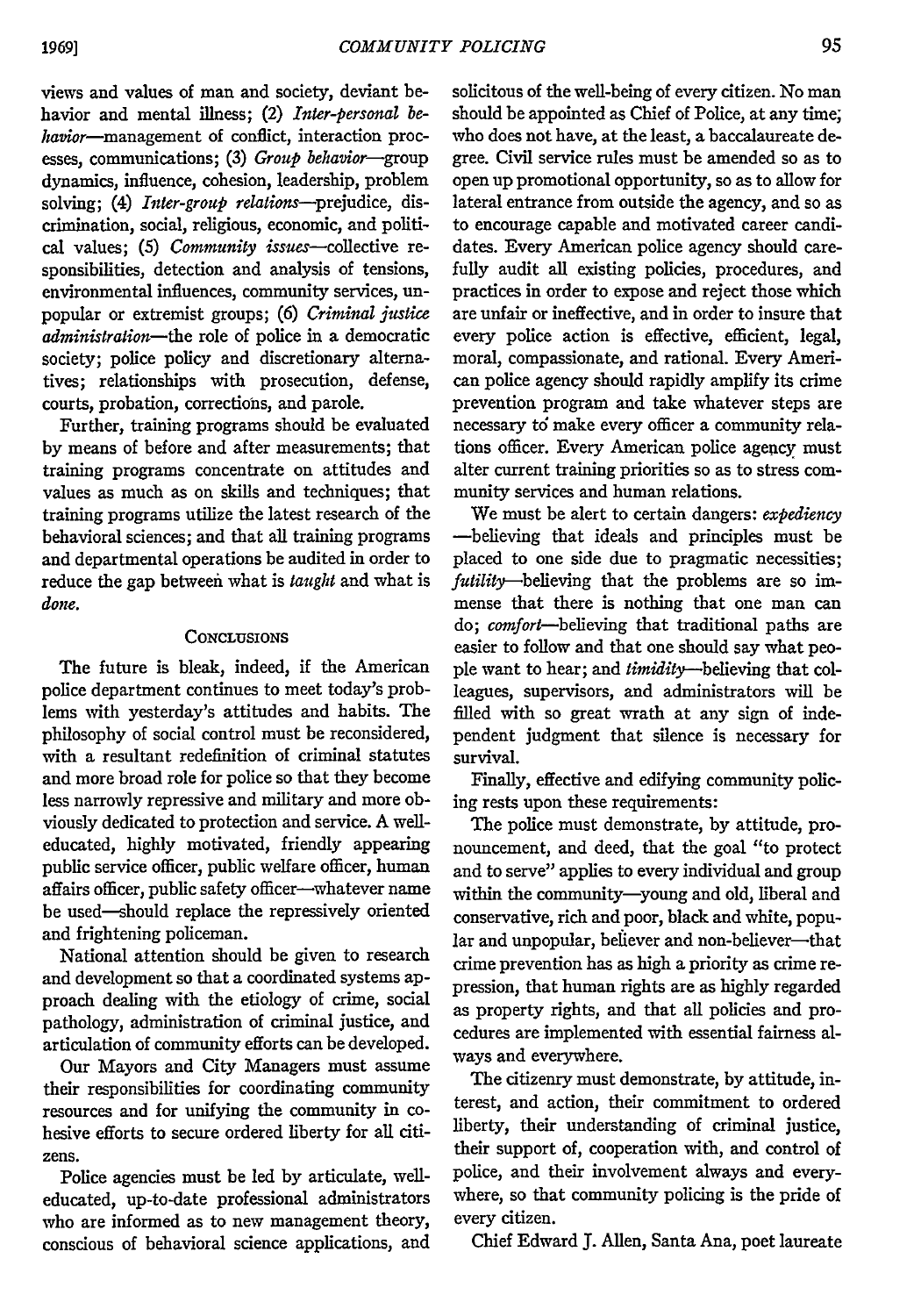views and values of man and society, deviant behavior and mental illness; (2) *Inter-personal be*havior-management of conflict, interaction processes, communications; **(3)** *Group behavior-group* dynamics, influence, cohesion, leadership, problem solving; (4) *Inter-group relations-prejudice,* discrimination, social, religious, economic, and political values; (5) *Community issues*-collective responsibilities, detection and analysis of tensions, environmental influences, community services, unpopular or extremist groups; **(6)** *Criminal justice administration-the* role of police in a democratic society; police policy and discretionary alternatives; relationships with prosecution, defense, courts, probation, corrections, and parole.

Further, training programs should be evaluated by means of before and after measurements; that training programs concentrate on attitudes and values as much as on skills and techniques; that training programs utilize the latest research of the behavioral sciences; and that all training programs and departmental operations be audited in order to reduce the gap between what is *taught* and what is *done.*

#### **CONCLUSIONS**

The future is bleak, indeed, if the American police department continues to meet today's problems with yesterday's attitudes and habits. The philosophy of social control must be reconsidered, with a resultant redefinition of criminal statutes and more broad role for police so that they become less narrowly repressive and military and more obviously dedicated to protection and service. A welleducated, highly motivated, friendly appearing public service officer, public welfare officer, human affairs officer, public safety officer-whatever name be used-should replace the repressively oriented and frightening policeman.

National attention should be given to research and development so that a coordinated systems approach dealing with the etiology of crime, social pathology, administration of criminal justice, and articulation of community efforts can be developed.

Our Mayors and City Managers must assume their responsibilities for coordinating community resources and for unifying the community in cohesive efforts to secure ordered liberty for all citizens.

Police agencies must be led by articulate, welleducated, up-to-date professional administrators who are informed as to new management theory, conscious of behavioral science applications, and

solicitous of the well-being of every citizen. No man should be appointed as Chief of Police, at any time; who does not have, at the least, a baccalaureate degree. Civil service rules must be amended so as to open up promotional opportunity, so as to allow for lateral entrance from outside the agency, and so as to encourage capable and motivated career candidates. Every American police agency should carefully audit all existing policies, procedures, and practices in order to expose and reject those which are unfair or ineffective, and in order to insure that every police action is effective, efficient, legal, moral, compassionate, and rational. Every American police agency should rapidly amplify its crime prevention program and take whatever steps are necessary *td* make every officer a community relations officer. Every American police agency must alter current training priorities so as to stress community services and human relations.

We must be alert to certain dangers: *expediency* -believing that ideals and principles must be placed to one side due to pragmatic necessities; futility-believing that the problems are so immense that there is nothing that one man can do; *comfort-believing* that traditional paths are easier to follow and that one should say what people want to hear; and *timidity-believing* that colleagues, supervisors, and administrators will be filled with so great wrath at any sign of independent judgment that silence is necessary for survival.

Finally, effective and edifying community policing rests upon these requirements:

The police must demonstrate, by attitude, pronouncement, and deed, that the goal "to protect and to serve" applies to every individual and group within the community-young and old, liberal and conservative, rich and poor, black and white, popular and unpopular, believer and non-believer-that crime prevention has as high a priority as crime repression, that human rights are as highly regarded as property rights, and that all policies and procedures are implemented with essential fairness always and everywhere.

The citizenry must demonstrate, by attitude, interest, and action, their commitment to ordered liberty, their understanding of criminal justice, their support of, cooperation with, and control of police, and their involvement always and everywhere, so that community policing is the pride of every citizen.

Chief Edward J. Allen, Santa Ana, poet laureate